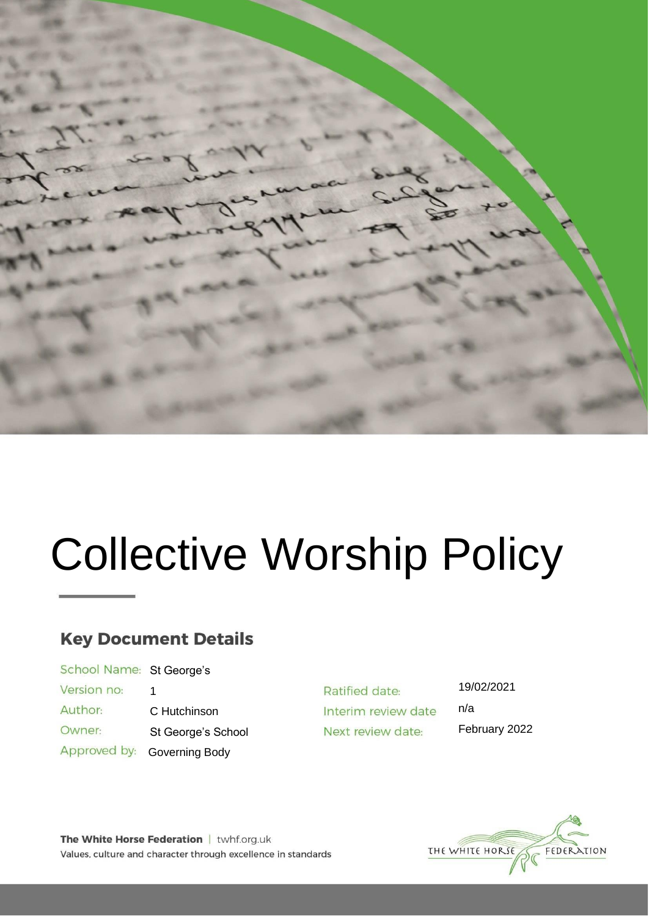

# Collective Worship Policy

## **Key Document Details**

| School Name: St George's |                    |  |
|--------------------------|--------------------|--|
| Version no:              | 1                  |  |
| Author:                  | C Hutchinson       |  |
| Owner:                   | St George's School |  |
| Approved by:             | Governing Body     |  |

Ratified date: Interim review date Next review date:

19/02/2021 n/a

February 2022

THE WHITE HORSE FEDERATION

The White Horse Federation | twhf.org.uk Values, culture and character through excellence in standards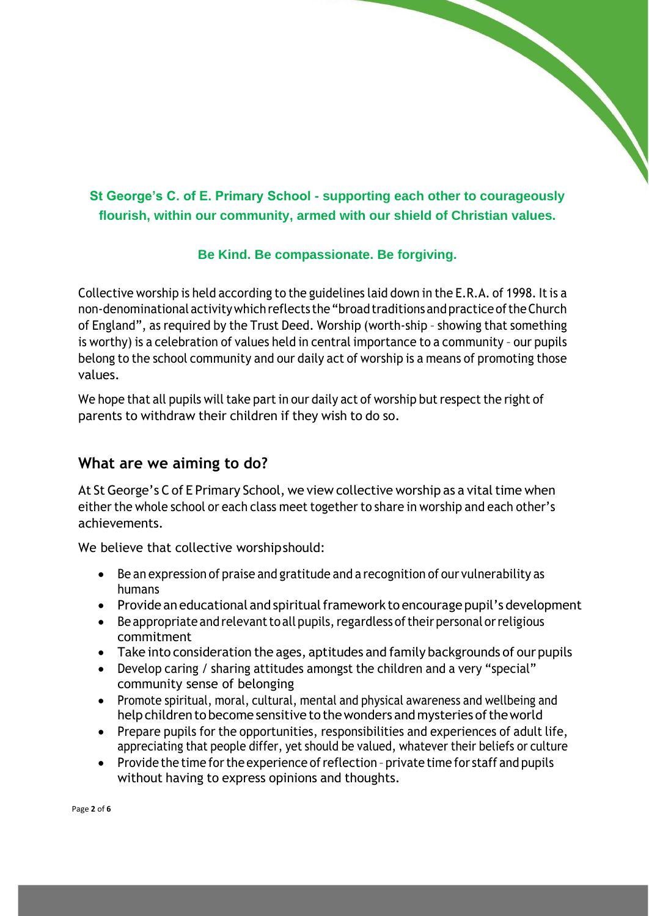## **St George's C. of E. Primary School - supporting each other to courageously flourish, within our community, armed with our shield of Christian values.**

#### **Be Kind. Be compassionate. Be forgiving.**

Collective worship is held according to the guidelines laid down in the E.R.A. of 1998. Itis a non-denominational activitywhichreflects the"broadtraditions andpractice oftheChurch of England", as required by the Trust Deed. Worship (worth-ship – showing that something is worthy) is a celebration of values held in central importance to a community – our pupils belong to the school community and our daily act of worship is a means of promoting those values.

We hope that all pupils will take part in our daily act of worship but respect the right of parents to withdraw their children if they wish to do so.

#### **What are we aiming to do?**

At St George's C of E Primary School, we view collective worship as a vital time when either the whole school or each class meet together to share in worship and each other's achievements.

We believe that collective worshipshould:

- Be an expression of praise and gratitude and a recognition of our vulnerability as humans
- Provide an educational and spiritual framework to encourage pupil's development
- Be appropriate and relevant to all pupils, regardless of their personal or religious commitment
- Take into consideration the ages, aptitudes and family backgrounds of our pupils
- Develop caring / sharing attitudes amongst the children and a very "special" community sense of belonging
- Promote spiritual, moral, cultural, mental and physical awareness and wellbeing and help children to become sensitive to the wonders and mysteries of the world
- Prepare pupils for the opportunities, responsibilities and experiences of adult life, appreciating that people differ, yet should be valued, whatever their beliefs or culture
- Provide the time for the experience of reflection private time for staff and pupils without having to express opinions and thoughts.

Page **2** of **6**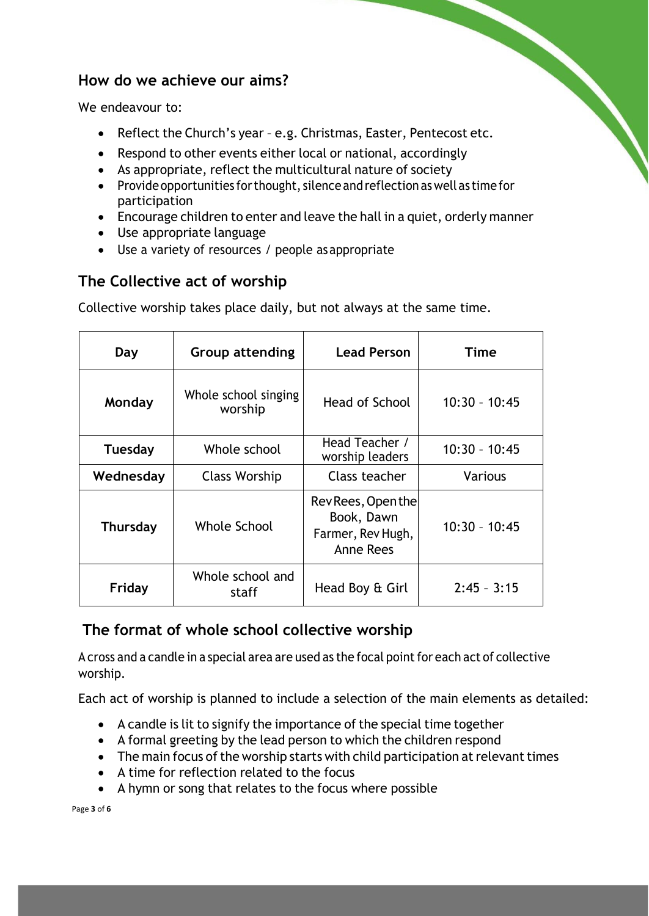### **How do we achieve our aims?**

We endeavour to:

- Reflect the Church's year e.g. Christmas, Easter, Pentecost etc.
- Respond to other events either local or national, accordingly
- As appropriate, reflect the multicultural nature of society
- Provide opportunities for thought, silence and reflection as well as time for participation
- Encourage children to enter and leave the hall in a quiet, orderly manner
- Use appropriate language
- Use a variety of resources / people asappropriate

## **The Collective act of worship**

Collective worship takes place daily, but not always at the same time.

| Day             | <b>Group attending</b>          | <b>Lead Person</b>                                                 | Time            |
|-----------------|---------------------------------|--------------------------------------------------------------------|-----------------|
| Monday          | Whole school singing<br>worship | Head of School                                                     | $10:30 - 10:45$ |
| <b>Tuesday</b>  | Whole school                    | Head Teacher /<br>worship leaders                                  | $10:30 - 10:45$ |
| Wednesday       | <b>Class Worship</b>            | Class teacher                                                      | <b>Various</b>  |
| <b>Thursday</b> | Whole School                    | Rev Rees, Open the<br>Book, Dawn<br>Farmer, Rev Hugh,<br>Anne Rees | $10:30 - 10:45$ |
| Friday          | Whole school and<br>staff       | Head Boy & Girl                                                    | $2:45 - 3:15$   |

## **The format of whole school collective worship**

A cross and a candle in a special area are used as the focal point for each act of collective worship.

Each act of worship is planned to include a selection of the main elements as detailed:

- A candle is lit to signify the importance of the special time together
- A formal greeting by the lead person to which the children respond
- $\bullet$  The main focus of the worship starts with child participation at relevant times
- A time for reflection related to the focus
- A hymn or song that relates to the focus where possible

Page **3** of **6**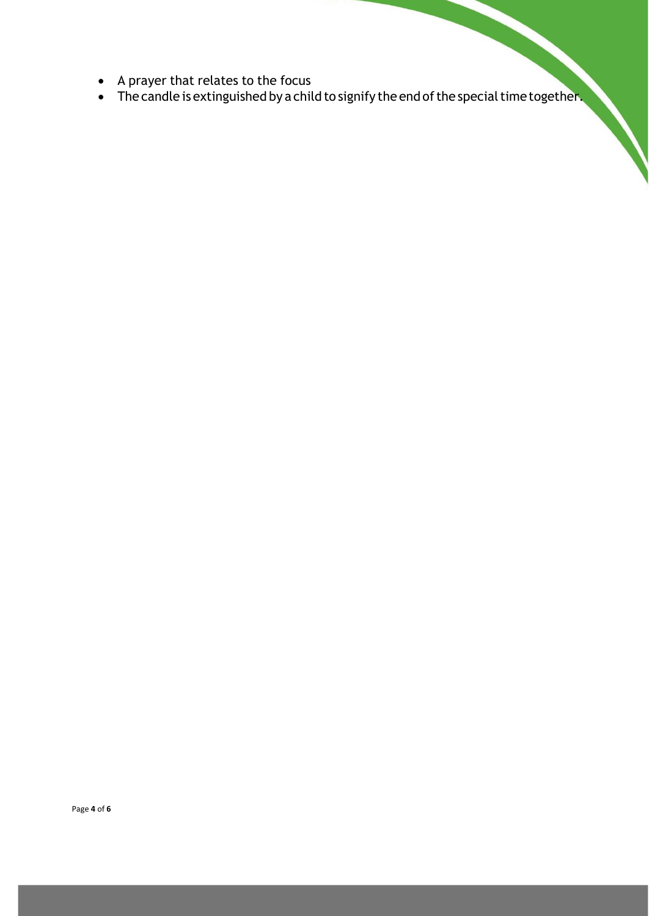- A prayer that relates to the focus
- The candle is extinguished by a child to signify the end of the special time together.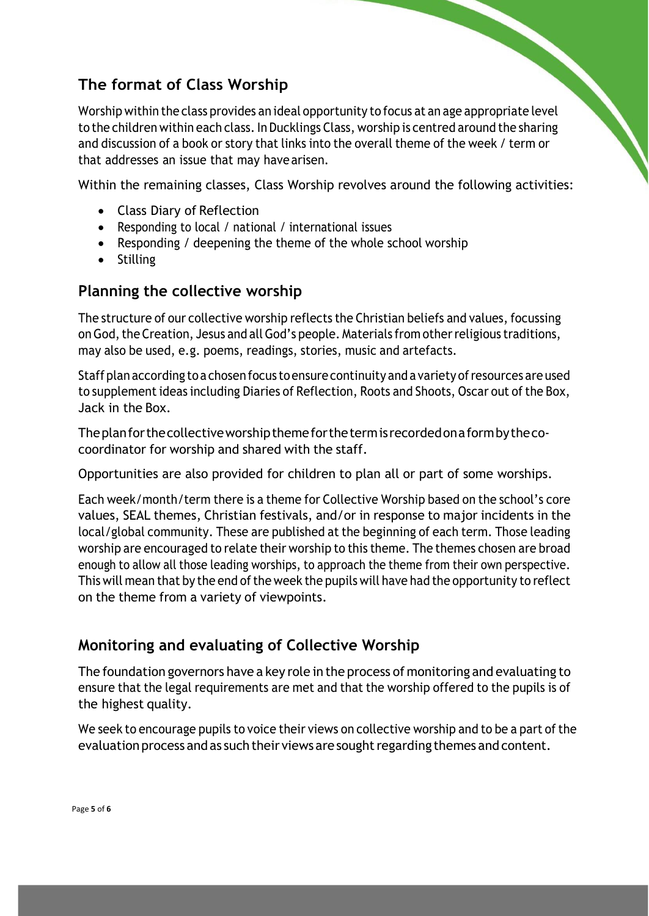## **The format of Class Worship**

Worship within the class provides an ideal opportunity to focus at an age appropriate level to the children within each class. In Ducklings Class, worship is centred around the sharing and discussion of a book or story that links into the overall theme of the week / term or that addresses an issue that may havearisen.

Within the remaining classes, Class Worship revolves around the following activities:

- Class Diary of Reflection
- Responding to local / national / international issues
- Responding / deepening the theme of the whole school worship
- Stilling

## **Planning the collective worship**

The structure of our collective worship reflects the Christian beliefs and values, focussing on God, the Creation, Jesus and all God's people. Materials from other religious traditions, may also be used, e.g. poems, readings, stories, music and artefacts.

Staff plan according to a chosen focus to ensure continuity and a variety of resources are used to supplement ideas including Diaries of Reflection, Roots and Shoots, Oscar out of the Box, Jack in the Box.

Theplanforthecollectiveworshipthemeforthetermis recordedonaformbythecocoordinator for worship and shared with the staff.

Opportunities are also provided for children to plan all or part of some worships.

Each week/month/term there is a theme for Collective Worship based on the school's core values, SEAL themes, Christian festivals, and/or in response to major incidents in the local/global community. These are published at the beginning of each term. Those leading worship are encouraged to relate their worship to this theme. The themes chosen are broad enough to allow all those leading worships, to approach the theme from their own perspective. This will mean that by the end of the week the pupils will have had the opportunity to reflect on the theme from a variety of viewpoints.

## **Monitoring and evaluating of Collective Worship**

The foundation governors have a key role in the process of monitoring and evaluating to ensure that the legal requirements are met and that the worship offered to the pupils is of the highest quality.

We seek to encourage pupils to voice their views on collective worship and to be a part of the evaluation process and as such their views are sought regarding themes and content.